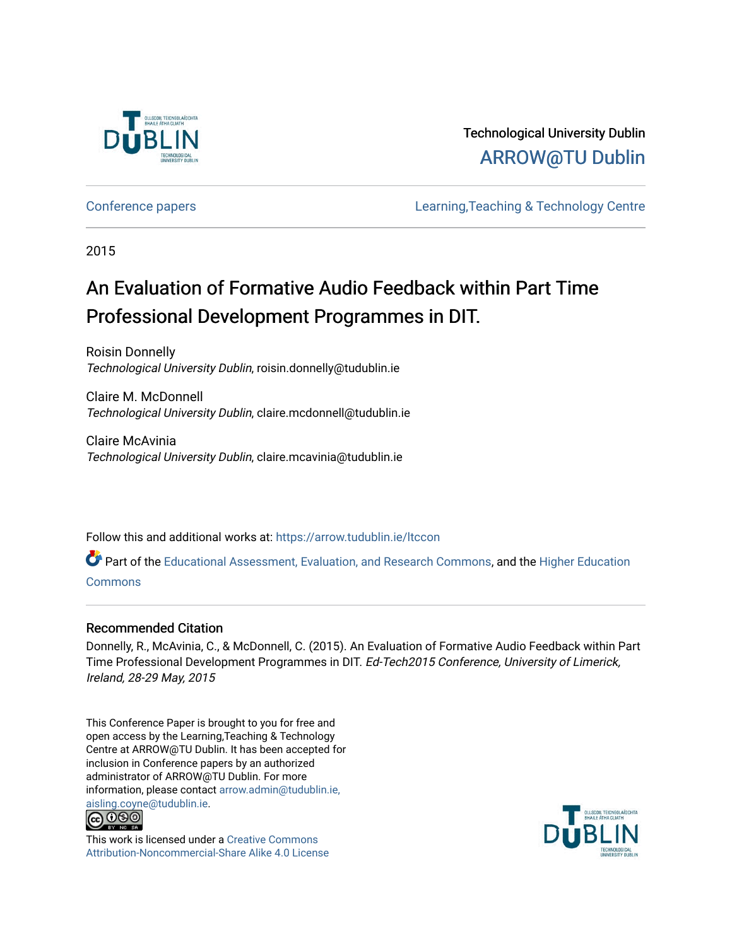

Technological University Dublin [ARROW@TU Dublin](https://arrow.tudublin.ie/) 

[Conference papers](https://arrow.tudublin.ie/ltccon) [Learning,Teaching & Technology Centre](https://arrow.tudublin.ie/ltc) 

2015

## An Evaluation of Formative Audio Feedback within Part Time Professional Development Programmes in DIT.

Roisin Donnelly Technological University Dublin, roisin.donnelly@tudublin.ie

Claire M. McDonnell Technological University Dublin, claire.mcdonnell@tudublin.ie

Claire McAvinia Technological University Dublin, claire.mcavinia@tudublin.ie

Follow this and additional works at: [https://arrow.tudublin.ie/ltccon](https://arrow.tudublin.ie/ltccon?utm_source=arrow.tudublin.ie%2Fltccon%2F34&utm_medium=PDF&utm_campaign=PDFCoverPages)

Part of the [Educational Assessment, Evaluation, and Research Commons](http://network.bepress.com/hgg/discipline/796?utm_source=arrow.tudublin.ie%2Fltccon%2F34&utm_medium=PDF&utm_campaign=PDFCoverPages), and the [Higher Education](http://network.bepress.com/hgg/discipline/1245?utm_source=arrow.tudublin.ie%2Fltccon%2F34&utm_medium=PDF&utm_campaign=PDFCoverPages) [Commons](http://network.bepress.com/hgg/discipline/1245?utm_source=arrow.tudublin.ie%2Fltccon%2F34&utm_medium=PDF&utm_campaign=PDFCoverPages)

## Recommended Citation

Donnelly, R., McAvinia, C., & McDonnell, C. (2015). An Evaluation of Formative Audio Feedback within Part Time Professional Development Programmes in DIT. Ed-Tech2015 Conference, University of Limerick, Ireland, 28-29 May, 2015

This Conference Paper is brought to you for free and open access by the Learning,Teaching & Technology Centre at ARROW@TU Dublin. It has been accepted for inclusion in Conference papers by an authorized administrator of ARROW@TU Dublin. For more information, please contact [arrow.admin@tudublin.ie,](mailto:arrow.admin@tudublin.ie,%20aisling.coyne@tudublin.ie)  [aisling.coyne@tudublin.ie.](mailto:arrow.admin@tudublin.ie,%20aisling.coyne@tudublin.ie)<br>© 090



This work is licensed under a [Creative Commons](http://creativecommons.org/licenses/by-nc-sa/4.0/) [Attribution-Noncommercial-Share Alike 4.0 License](http://creativecommons.org/licenses/by-nc-sa/4.0/)

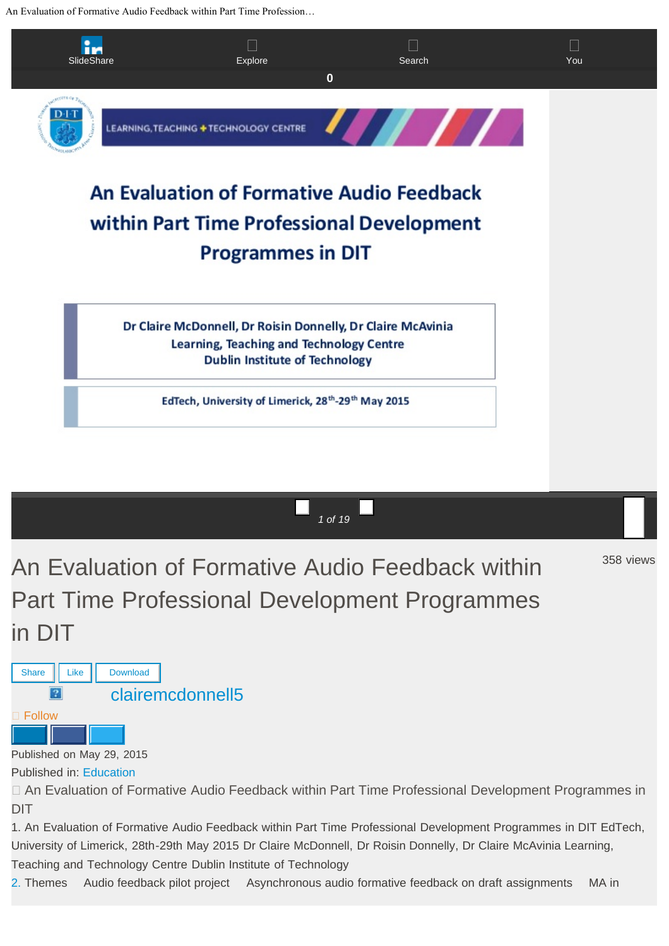An Evaluation of Formative Audio Feedback within Part Time Profession…



*1 of 19*

358 views

An Evaluation of Formative Audio Feedback within Part Time Professional Development Programmes in DIT



Published in: [Education](file:///featured/category/education)

 An Evaluation of Formative Audio Feedback within Part Time Professional Development Programmes in DIT

1. An Evaluation of Formative Audio Feedback within Part Time Professional Development Programmes in DIT EdTech, University of Limerick, 28th-29th May 2015 Dr Claire McDonnell, Dr Roisin Donnelly, Dr Claire McAvinia Learning, Teaching and Technology Centre Dublin Institute of Technology

[2.](http://image.slidesharecdn.com/cmcdonnellcmcaviniaed-tech2015v2-150529204252-lva1-app6891/95/an-evaluation-of-formative-audio-feedback-within-part-time-professional-development-programmes-in-dit-2-638.jpg?cb=1432932294) Themes Audio feedback pilot project Asynchronous audio formative feedback on draft assignments MA in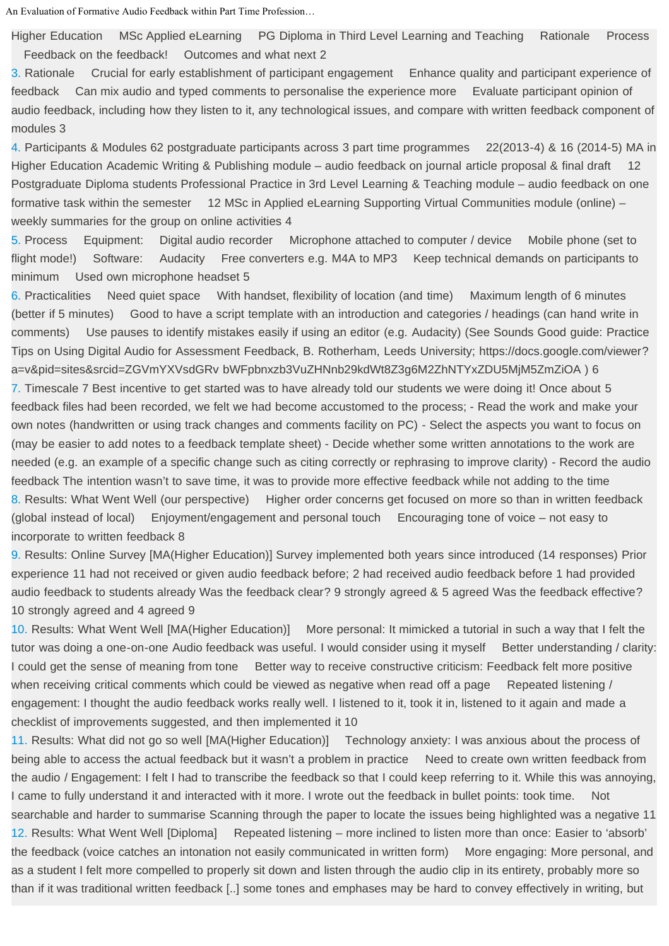An Evaluation of Formative Audio Feedback within Part Time Profession…

Higher Education MSc Applied eLearning PG Diploma in Third Level Learning and Teaching Rationale Process Feedback on the feedback! Outcomes and what next 2

[3.](http://image.slidesharecdn.com/cmcdonnellcmcaviniaed-tech2015v2-150529204252-lva1-app6891/95/an-evaluation-of-formative-audio-feedback-within-part-time-professional-development-programmes-in-dit-3-638.jpg?cb=1432932294) Rationale Crucial for early establishment of participant engagement Enhance quality and participant experience of feedback Can mix audio and typed comments to personalise the experience more Evaluate participant opinion of audio feedback, including how they listen to it, any technological issues, and compare with written feedback component of modules 3

[4.](http://image.slidesharecdn.com/cmcdonnellcmcaviniaed-tech2015v2-150529204252-lva1-app6891/95/an-evaluation-of-formative-audio-feedback-within-part-time-professional-development-programmes-in-dit-4-638.jpg?cb=1432932294) Participants & Modules 62 postgraduate participants across 3 part time programmes 22(2013-4) & 16 (2014-5) MA in Higher Education Academic Writing & Publishing module – audio feedback on journal article proposal & final draft 12 Postgraduate Diploma students Professional Practice in 3rd Level Learning & Teaching module – audio feedback on one formative task within the semester 12 MSc in Applied eLearning Supporting Virtual Communities module (online) – weekly summaries for the group on online activities 4

[5.](http://image.slidesharecdn.com/cmcdonnellcmcaviniaed-tech2015v2-150529204252-lva1-app6891/95/an-evaluation-of-formative-audio-feedback-within-part-time-professional-development-programmes-in-dit-5-638.jpg?cb=1432932294) Process Equipment: Digital audio recorder Microphone attached to computer / device Mobile phone (set to flight mode!) Software: Audacity Free converters e.g. M4A to MP3 Keep technical demands on participants to minimum Used own microphone headset 5

[6.](http://image.slidesharecdn.com/cmcdonnellcmcaviniaed-tech2015v2-150529204252-lva1-app6891/95/an-evaluation-of-formative-audio-feedback-within-part-time-professional-development-programmes-in-dit-6-638.jpg?cb=1432932294) Practicalities Need quiet space With handset, flexibility of location (and time) Maximum length of 6 minutes (better if 5 minutes) Good to have a script template with an introduction and categories / headings (can hand write in comments) Use pauses to identify mistakes easily if using an editor (e.g. Audacity) (See Sounds Good guide: Practice Tips on Using Digital Audio for Assessment Feedback, B. Rotherham, Leeds University; https://docs.google.com/viewer? a=v&pid=sites&srcid=ZGVmYXVsdGRv bWFpbnxzb3VuZHNnb29kdWt8Z3g6M2ZhNTYxZDU5MjM5ZmZiOA ) 6

[7.](http://image.slidesharecdn.com/cmcdonnellcmcaviniaed-tech2015v2-150529204252-lva1-app6891/95/an-evaluation-of-formative-audio-feedback-within-part-time-professional-development-programmes-in-dit-7-638.jpg?cb=1432932294) Timescale 7 Best incentive to get started was to have already told our students we were doing it! Once about 5 feedback files had been recorded, we felt we had become accustomed to the process; - Read the work and make your own notes (handwritten or using track changes and comments facility on PC) - Select the aspects you want to focus on (may be easier to add notes to a feedback template sheet) - Decide whether some written annotations to the work are needed (e.g. an example of a specific change such as citing correctly or rephrasing to improve clarity) - Record the audio feedback The intention wasn't to save time, it was to provide more effective feedback while not adding to the time [8.](http://image.slidesharecdn.com/cmcdonnellcmcaviniaed-tech2015v2-150529204252-lva1-app6891/95/an-evaluation-of-formative-audio-feedback-within-part-time-professional-development-programmes-in-dit-8-638.jpg?cb=1432932294) Results: What Went Well (our perspective) Higher order concerns get focused on more so than in written feedback (global instead of local) Enjoyment/engagement and personal touch Encouraging tone of voice – not easy to incorporate to written feedback 8

[9.](http://image.slidesharecdn.com/cmcdonnellcmcaviniaed-tech2015v2-150529204252-lva1-app6891/95/an-evaluation-of-formative-audio-feedback-within-part-time-professional-development-programmes-in-dit-9-638.jpg?cb=1432932294) Results: Online Survey [MA(Higher Education)] Survey implemented both years since introduced (14 responses) Prior experience 11 had not received or given audio feedback before; 2 had received audio feedback before 1 had provided audio feedback to students already Was the feedback clear? 9 strongly agreed & 5 agreed Was the feedback effective? 10 strongly agreed and 4 agreed 9

[10.](http://image.slidesharecdn.com/cmcdonnellcmcaviniaed-tech2015v2-150529204252-lva1-app6891/95/an-evaluation-of-formative-audio-feedback-within-part-time-professional-development-programmes-in-dit-10-638.jpg?cb=1432932294) Results: What Went Well [MA(Higher Education)] More personal: It mimicked a tutorial in such a way that I felt the tutor was doing a one-on-one Audio feedback was useful. I would consider using it myself Better understanding / clarity: I could get the sense of meaning from tone Better way to receive constructive criticism: Feedback felt more positive when receiving critical comments which could be viewed as negative when read off a page Repeated listening / engagement: I thought the audio feedback works really well. I listened to it, took it in, listened to it again and made a checklist of improvements suggested, and then implemented it 10

[11.](http://image.slidesharecdn.com/cmcdonnellcmcaviniaed-tech2015v2-150529204252-lva1-app6891/95/an-evaluation-of-formative-audio-feedback-within-part-time-professional-development-programmes-in-dit-11-638.jpg?cb=1432932294) Results: What did not go so well [MA(Higher Education)] Technology anxiety: I was anxious about the process of being able to access the actual feedback but it wasn't a problem in practice Need to create own written feedback from the audio / Engagement: I felt I had to transcribe the feedback so that I could keep referring to it. While this was annoying, I came to fully understand it and interacted with it more. I wrote out the feedback in bullet points: took time. Not searchable and harder to summarise Scanning through the paper to locate the issues being highlighted was a negative 11 [12.](http://image.slidesharecdn.com/cmcdonnellcmcaviniaed-tech2015v2-150529204252-lva1-app6891/95/an-evaluation-of-formative-audio-feedback-within-part-time-professional-development-programmes-in-dit-12-638.jpg?cb=1432932294) Results: What Went Well [Diploma] Repeated listening – more inclined to listen more than once: Easier to 'absorb' the feedback (voice catches an intonation not easily communicated in written form) More engaging: More personal, and as a student I felt more compelled to properly sit down and listen through the audio clip in its entirety, probably more so than if it was traditional written feedback [..] some tones and emphases may be hard to convey effectively in writing, but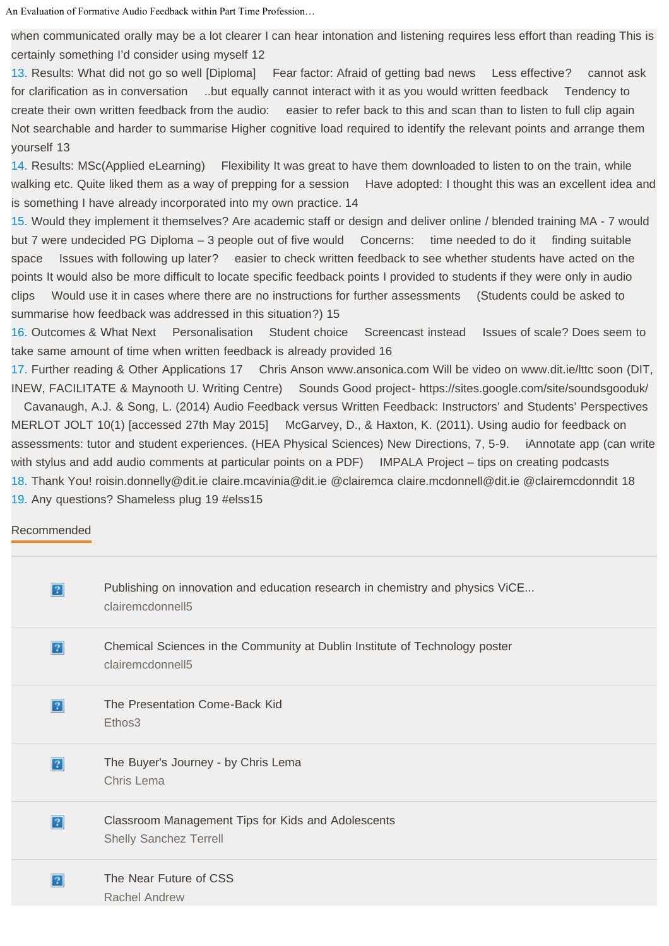An Evaluation of Formative Audio Feedback within Part Time Profession…

when communicated orally may be a lot clearer I can hear intonation and listening requires less effort than reading This is certainly something I'd consider using myself 12

[13.](http://image.slidesharecdn.com/cmcdonnellcmcaviniaed-tech2015v2-150529204252-lva1-app6891/95/an-evaluation-of-formative-audio-feedback-within-part-time-professional-development-programmes-in-dit-13-638.jpg?cb=1432932294) Results: What did not go so well [Diploma] Fear factor: Afraid of getting bad news Less effective? cannot ask for clarification as in conversation ..but equally cannot interact with it as you would written feedback Tendency to create their own written feedback from the audio: easier to refer back to this and scan than to listen to full clip again Not searchable and harder to summarise Higher cognitive load required to identify the relevant points and arrange them yourself 13

[14.](http://image.slidesharecdn.com/cmcdonnellcmcaviniaed-tech2015v2-150529204252-lva1-app6891/95/an-evaluation-of-formative-audio-feedback-within-part-time-professional-development-programmes-in-dit-14-638.jpg?cb=1432932294) Results: MSc(Applied eLearning) Flexibility It was great to have them downloaded to listen to on the train, while walking etc. Quite liked them as a way of prepping for a session Have adopted: I thought this was an excellent idea and is something I have already incorporated into my own practice. 14

[15.](http://image.slidesharecdn.com/cmcdonnellcmcaviniaed-tech2015v2-150529204252-lva1-app6891/95/an-evaluation-of-formative-audio-feedback-within-part-time-professional-development-programmes-in-dit-15-638.jpg?cb=1432932294) Would they implement it themselves? Are academic staff or design and deliver online / blended training MA - 7 would but 7 were undecided PG Diploma – 3 people out of five would Concerns: time needed to do it finding suitable space Issues with following up later? easier to check written feedback to see whether students have acted on the points It would also be more difficult to locate specific feedback points I provided to students if they were only in audio clips Would use it in cases where there are no instructions for further assessments (Students could be asked to summarise how feedback was addressed in this situation?) 15

[16.](http://image.slidesharecdn.com/cmcdonnellcmcaviniaed-tech2015v2-150529204252-lva1-app6891/95/an-evaluation-of-formative-audio-feedback-within-part-time-professional-development-programmes-in-dit-16-638.jpg?cb=1432932294) Outcomes & What Next Personalisation Student choice Screencast instead Issues of scale? Does seem to take same amount of time when written feedback is already provided 16

[17.](http://image.slidesharecdn.com/cmcdonnellcmcaviniaed-tech2015v2-150529204252-lva1-app6891/95/an-evaluation-of-formative-audio-feedback-within-part-time-professional-development-programmes-in-dit-17-638.jpg?cb=1432932294) Further reading & Other Applications 17 Chris Anson www.ansonica.com Will be video on www.dit.ie/lttc soon (DIT, INEW, FACILITATE & Maynooth U. Writing Centre) Sounds Good project- https://sites.google.com/site/soundsgooduk/

 Cavanaugh, A.J. & Song, L. (2014) Audio Feedback versus Written Feedback: Instructors' and Students' Perspectives MERLOT JOLT 10(1) [accessed 27th May 2015] McGarvey, D., & Haxton, K. (2011). Using audio for feedback on assessments: tutor and student experiences. (HEA Physical Sciences) New Directions, 7, 5-9. iAnnotate app (can write with stylus and add audio comments at particular points on a PDF) IMPALA Project – tips on creating podcasts [18.](http://image.slidesharecdn.com/cmcdonnellcmcaviniaed-tech2015v2-150529204252-lva1-app6891/95/an-evaluation-of-formative-audio-feedback-within-part-time-professional-development-programmes-in-dit-18-638.jpg?cb=1432932294) Thank You! roisin.donnelly@dit.ie claire.mcavinia@dit.ie @clairemca claire.mcdonnell@dit.ie @clairemcdonndit 18 [19.](http://image.slidesharecdn.com/cmcdonnellcmcaviniaed-tech2015v2-150529204252-lva1-app6891/95/an-evaluation-of-formative-audio-feedback-within-part-time-professional-development-programmes-in-dit-19-638.jpg?cb=1432932294) Any questions? Shameless plug 19 #elss15

## [Recommended](#page-4-0)

| 2                 | Publishing on innovation and education research in chemistry and physics ViCE<br>clairemcdonnell5 |
|-------------------|---------------------------------------------------------------------------------------------------|
| ?                 | Chemical Sciences in the Community at Dublin Institute of Technology poster<br>clairemcdonnell5   |
| 2                 | The Presentation Come-Back Kid<br>Ethos3                                                          |
| $\overline{?}$    | The Buyer's Journey - by Chris Lema<br>Chris Lema                                                 |
| $\lceil 2 \rceil$ | Classroom Management Tips for Kids and Adolescents<br><b>Shelly Sanchez Terrell</b>               |
| $\overline{?}$    | The Near Future of CSS<br>Rachel Andrew                                                           |